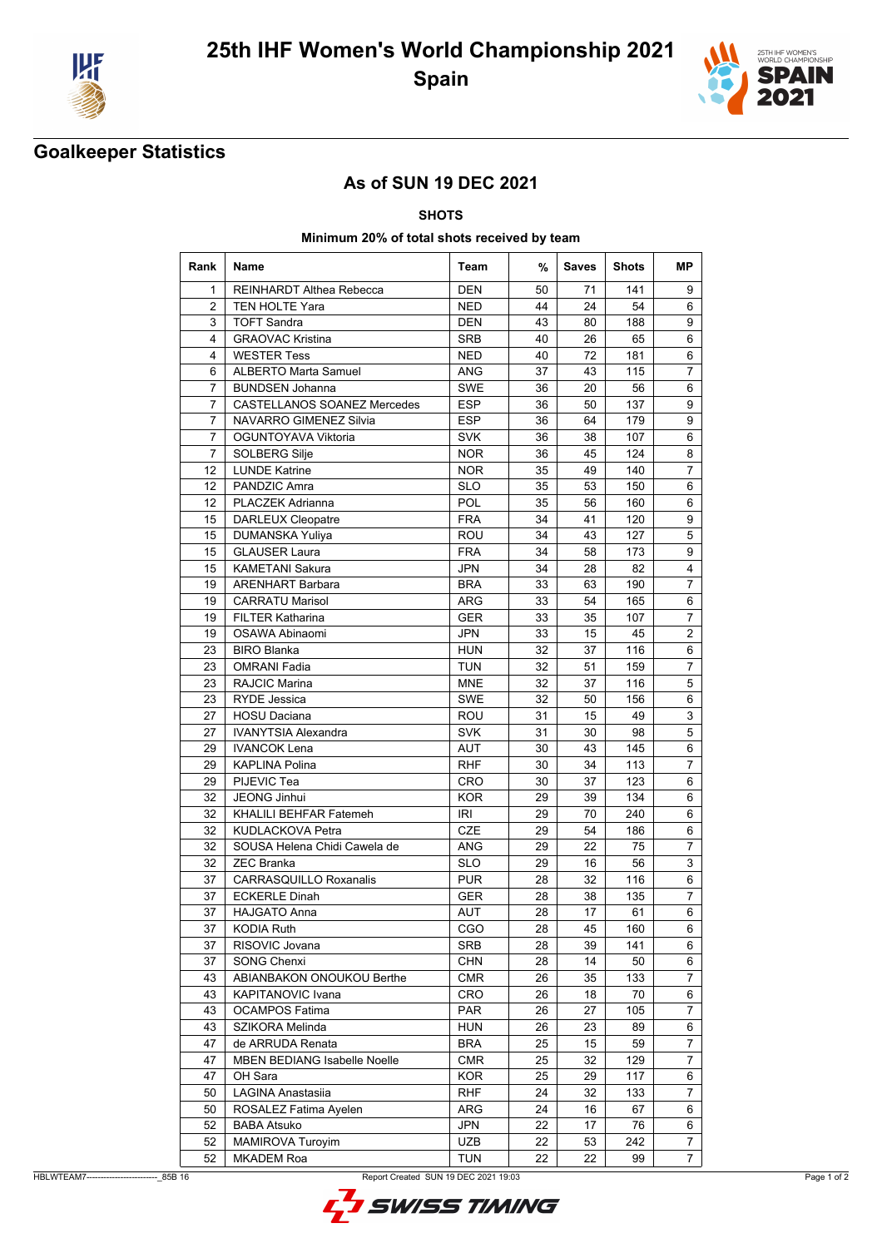



## **Goalkeeper Statistics**

### **As of SUN 19 DEC 2021**

**SHOTS**

### **Minimum 20% of total shots received by team**

| Rank           | <b>Name</b>                         | Team       | %  | <b>Saves</b> | <b>Shots</b> | МP               |
|----------------|-------------------------------------|------------|----|--------------|--------------|------------------|
| 1              | <b>REINHARDT Althea Rebecca</b>     | <b>DEN</b> | 50 | 71           | 141          | 9                |
| 2              | <b>TEN HOLTE Yara</b>               | <b>NED</b> | 44 | 24           | 54           | 6                |
| 3              | <b>TOFT Sandra</b>                  | <b>DEN</b> | 43 | 80           | 188          | 9                |
| $\overline{4}$ | <b>GRAOVAC Kristina</b>             | <b>SRB</b> | 40 | 26           | 65           | 6                |
| 4              | <b>WESTER Tess</b>                  | <b>NED</b> | 40 | 72           | 181          | 6                |
| 6              | <b>ALBERTO Marta Samuel</b>         | <b>ANG</b> | 37 | 43           | 115          | $\overline{7}$   |
| 7              | <b>BUNDSEN Johanna</b>              | <b>SWE</b> | 36 | 20           | 56           | 6                |
| 7              | <b>CASTELLANOS SOANEZ Mercedes</b>  | ESP        | 36 | 50           | 137          | 9                |
| 7              | <b>NAVARRO GIMENEZ Silvia</b>       | <b>ESP</b> | 36 | 64           | 179          | 9                |
| 7              | OGUNTOYAVA Viktoria                 | <b>SVK</b> | 36 | 38           | 107          | 6                |
| $\overline{7}$ | SOLBERG Silje                       | <b>NOR</b> | 36 | 45           | 124          | 8                |
| 12             | <b>LUNDE Katrine</b>                | <b>NOR</b> | 35 | 49           | 140          | $\overline{7}$   |
| 12             | PANDZIC Amra                        | <b>SLO</b> | 35 | 53           | 150          | 6                |
| 12             | <b>PLACZEK Adrianna</b>             | <b>POL</b> | 35 | 56           | 160          | 6                |
| 15             | <b>DARLEUX Cleopatre</b>            | <b>FRA</b> | 34 | 41           | 120          | 9                |
| 15             | DUMANSKA Yuliya                     | ROU        | 34 | 43           | 127          | 5                |
| 15             | <b>GLAUSER Laura</b>                | <b>FRA</b> | 34 | 58           | 173          | 9                |
| 15             | <b>KAMETANI Sakura</b>              | <b>JPN</b> | 34 | 28           | 82           | 4                |
| 19             | <b>ARENHART Barbara</b>             | <b>BRA</b> | 33 | 63           | 190          | $\overline{7}$   |
| 19             | <b>CARRATU Marisol</b>              | ARG        | 33 | 54           | 165          | 6                |
| 19             | <b>FILTER Katharina</b>             | <b>GER</b> | 33 | 35           | 107          | 7                |
| 19             | OSAWA Abinaomi                      | <b>JPN</b> | 33 | 15           | 45           | 2                |
| 23             | <b>BIRO Blanka</b>                  | <b>HUN</b> | 32 | 37           | 116          | 6                |
| 23             | <b>OMRANI Fadia</b>                 | <b>TUN</b> | 32 | 51           | 159          | 7                |
| 23             | <b>RAJCIC Marina</b>                | <b>MNE</b> | 32 | 37           | 116          | 5                |
| 23             | <b>RYDE Jessica</b>                 | <b>SWE</b> | 32 | 50           | 156          | 6                |
| 27             | <b>HOSU Daciana</b>                 | ROU        | 31 |              | 49           |                  |
|                |                                     | <b>SVK</b> |    | 15           |              | 3<br>5           |
| 27             | <b>IVANYTSIA Alexandra</b>          |            | 31 | 30           | 98           |                  |
| 29             | <b>IVANCOK Lena</b>                 | <b>AUT</b> | 30 | 43           | 145          | 6                |
| 29             | <b>KAPLINA Polina</b>               | <b>RHF</b> | 30 | 34           | 113          | $\overline{7}$   |
| 29             | PIJEVIC Tea                         | <b>CRO</b> | 30 | 37           | 123          | 6                |
| 32             | <b>JEONG Jinhui</b>                 | <b>KOR</b> | 29 | 39           | 134          | 6                |
| 32             | KHALILI BEHFAR Fatemeh              | <b>IRI</b> | 29 | 70           | 240          | 6                |
| 32             | <b>KUDLACKOVA Petra</b>             | <b>CZE</b> | 29 | 54           | 186          | 6                |
| 32             | SOUSA Helena Chidi Cawela de        | <b>ANG</b> | 29 | 22           | 75           | $\boldsymbol{7}$ |
| 32             | <b>ZEC Branka</b>                   | <b>SLO</b> | 29 | 16           | 56           | 3                |
| 37             | <b>CARRASQUILLO Roxanalis</b>       | <b>PUR</b> | 28 | 32           | 116          | 6                |
| 37             | <b>ECKERLE Dinah</b>                | <b>GER</b> | 28 | 38           | 135          | $\overline{7}$   |
| 37             | <b>HAJGATO Anna</b>                 | AUT        | 28 | 17           | 61           | 6                |
| 37             | <b>KODIA Ruth</b>                   | CGO        | 28 | 45           | 160          | 6                |
| 37             | RISOVIC Jovana                      | SRB        | 28 | 39           | 141          | 6                |
| 37             | <b>SONG Chenxi</b>                  | <b>CHN</b> | 28 | 14           | 50           | 6                |
| 43             | ABIANBAKON ONOUKOU Berthe           | <b>CMR</b> | 26 | 35           | 133          | $\overline{7}$   |
| 43             | KAPITANOVIC Ivana                   | CRO        | 26 | 18           | 70           | 6                |
| 43             | <b>OCAMPOS Fatima</b>               | <b>PAR</b> | 26 | 27           | 105          | 7                |
| 43             | SZIKORA Melinda                     | <b>HUN</b> | 26 | 23           | 89           | 6                |
| 47             | de ARRUDA Renata                    | <b>BRA</b> | 25 | 15           | 59           | 7                |
| 47             | <b>MBEN BEDIANG Isabelle Noelle</b> | <b>CMR</b> | 25 | 32           | 129          | 7                |
| 47             | OH Sara                             | KOR        | 25 | 29           | 117          | 6                |
| 50             | LAGINA Anastasiia                   | <b>RHF</b> | 24 | 32           | 133          | $\overline{7}$   |
| 50             | ROSALEZ Fatima Ayelen               | ARG        | 24 | 16           | 67           | 6                |
| 52             | <b>BABA Atsuko</b>                  | <b>JPN</b> | 22 | 17           | 76           | 6                |
| 52             | MAMIROVA Turoyim                    | <b>UZB</b> | 22 | 53           | 242          | 7                |
| 52             | <b>MKADEM Roa</b>                   | <b>TUN</b> | 22 | 22           | 99           | $\overline{7}$   |

HBLWTEAM7-------------------------\_85B 16 Report Created SUN 19 DEC 2021 19:03